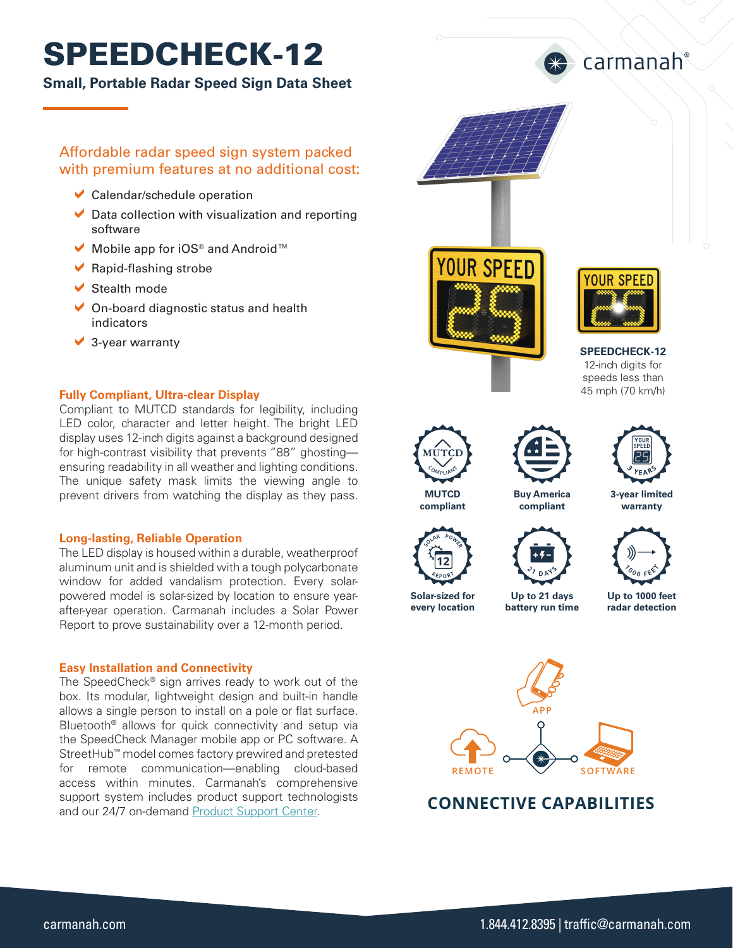# SPEEDCHECK-12

### **Small, Portable Radar Speed Sign Data Sheet**

### Affordable radar speed sign system packed with premium features at no additional cost:

- $\vee$  Calendar/schedule operation
- $\triangleright$  Data collection with visualization and reporting software
- $\vee$  Mobile app for iOS® and Android™
- $\blacktriangleright$  Rapid-flashing strobe
- $\blacktriangleright$  Stealth mode
- $\vee$  On-board diagnostic status and health indicators
- $\vee$  3-year warranty

### **Fully Compliant, Ultra-clear Display**

Compliant to MUTCD standards for legibility, including LED color, character and letter height. The bright LED display uses 12-inch digits against a background designed for high-contrast visibility that prevents "88" ghosting ensuring readability in all weather and lighting conditions. The unique safety mask limits the viewing angle to prevent drivers from watching the display as they pass.

### **Long-lasting, Reliable Operation**

The LED display is housed within a durable, weatherproof aluminum unit and is shielded with a tough polycarbonate window for added vandalism protection. Every solarpowered model is solar-sized by location to ensure yearafter-year operation. Carmanah includes a Solar Power Report to prove sustainability over a 12-month period.

### **Easy Installation and Connectivity**

The SpeedCheck® sign arrives ready to work out of the box. Its modular, lightweight design and built-in handle allows a single person to install on a pole or flat surface. Bluetooth® allows for quick connectivity and setup via the SpeedCheck Manager mobile app or PC software. A StreetHub™ model comes factory prewired and pretested for remote communication—enabling cloud-based access within minutes. Carmanah's comprehensive support system includes product support technologists and our 24/7 on-demand [Product Support Center.](https://support.carmanah.com/)





carmanah®

**SPEEDCHECK-12** 12-inch digits for speeds less than 45 mph (70 km/h)



**compliant**

**Solar-sized for every location**





**warranty**

**Buy America compliant**







**Up to 1000 feet radar detection battery run time**



### **CONNECTIVE CAPABILITIES**